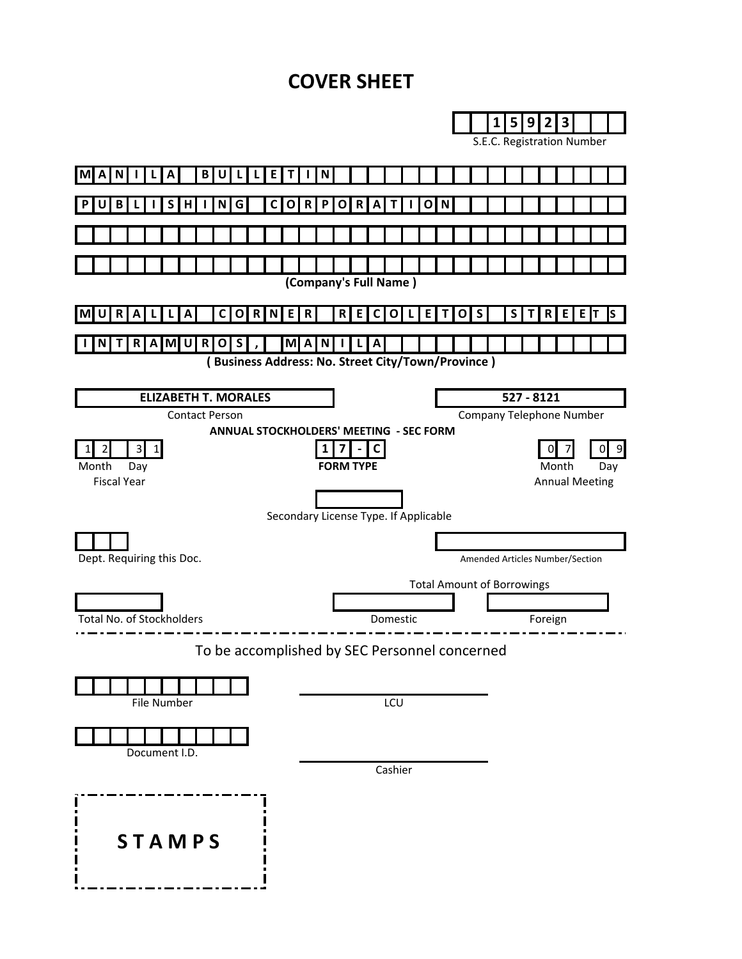# **COVER SHEET**

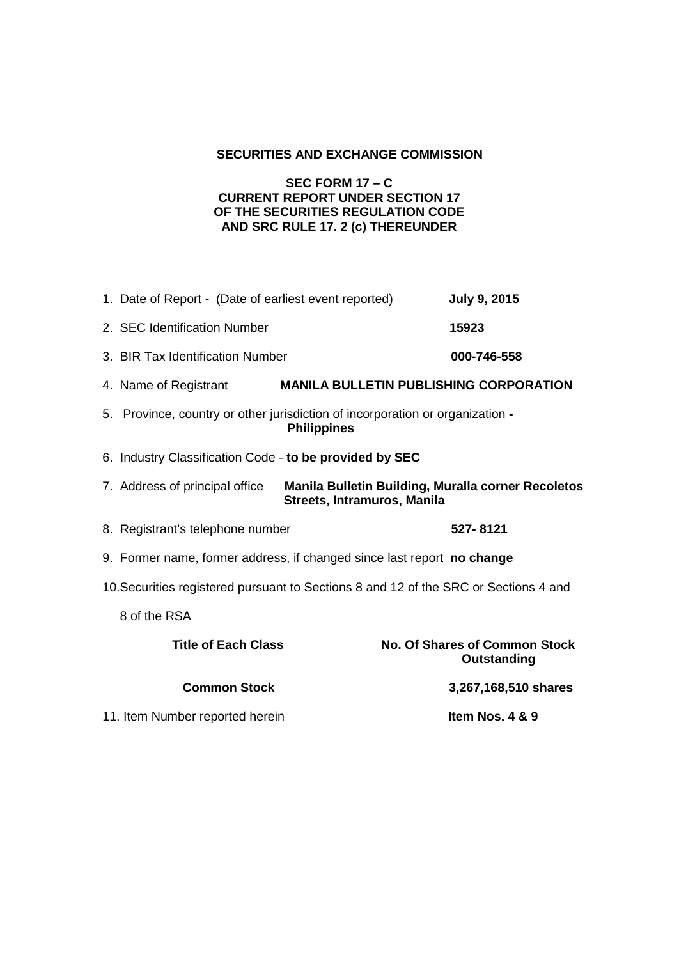## **SECURITIES AND EXCHANGE COMMISSION**

## **SEC FORM 17 – C CURRENT REPORT UNDER SECTION 17 OF THE SECURITIES REGULATION CODE AND SRC RULE 17. 2 (c) THEREUNDER**

|                                                                                      | 1. Date of Report - (Date of earliest event reported)                                                               | <b>July 9, 2015</b>                                        |  |  |
|--------------------------------------------------------------------------------------|---------------------------------------------------------------------------------------------------------------------|------------------------------------------------------------|--|--|
|                                                                                      | 2. SEC Identification Number                                                                                        | 15923                                                      |  |  |
|                                                                                      | 3. BIR Tax Identification Number                                                                                    | 000-746-558                                                |  |  |
|                                                                                      | 4. Name of Registrant                                                                                               | <b>MANILA BULLETIN PUBLISHING CORPORATION</b>              |  |  |
|                                                                                      | 5. Province, country or other jurisdiction of incorporation or organization -<br><b>Philippines</b>                 |                                                            |  |  |
|                                                                                      | 6. Industry Classification Code - to be provided by SEC                                                             |                                                            |  |  |
|                                                                                      | 7. Address of principal office<br>Manila Bulletin Building, Muralla corner Recoletos<br>Streets, Intramuros, Manila |                                                            |  |  |
|                                                                                      | 8. Registrant's telephone number                                                                                    | 527-8121                                                   |  |  |
|                                                                                      | 9. Former name, former address, if changed since last report no change                                              |                                                            |  |  |
| 10. Securities registered pursuant to Sections 8 and 12 of the SRC or Sections 4 and |                                                                                                                     |                                                            |  |  |
|                                                                                      | 8 of the RSA                                                                                                        |                                                            |  |  |
|                                                                                      | <b>Title of Each Class</b>                                                                                          | <b>No. Of Shares of Common Stock</b><br><b>Outstanding</b> |  |  |
|                                                                                      | <b>Common Stock</b>                                                                                                 | 3,267,168,510 shares                                       |  |  |
|                                                                                      | 11. Item Number reported herein                                                                                     | Item Nos. 4 & 9                                            |  |  |